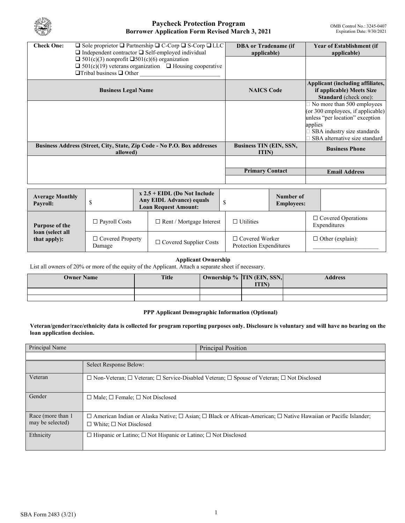

| $\Box$ Sole proprietor $\Box$ Partnership $\Box$ C-Corp $\Box$ S-Corp $\Box$ LLC<br><b>Check One:</b><br>$\Box$ Independent contractor $\Box$ Self-employed individual<br>$\Box$ 501(c)(3) nonprofit $\Box$ 501(c)(6) organization<br>$\Box$ 501(c)(19) veterans organization $\Box$ Housing cooperative<br>$\Box$ Tribal business $\Box$ Other |                                   |  |                                                                                                  |    | <b>DBA</b> or Tradename (if<br>applicable)       |                                |                                                                                                                                                                                                               | <b>Year of Establishment (if</b><br>applicable) |  |
|-------------------------------------------------------------------------------------------------------------------------------------------------------------------------------------------------------------------------------------------------------------------------------------------------------------------------------------------------|-----------------------------------|--|--------------------------------------------------------------------------------------------------|----|--------------------------------------------------|--------------------------------|---------------------------------------------------------------------------------------------------------------------------------------------------------------------------------------------------------------|-------------------------------------------------|--|
| <b>Business Legal Name</b>                                                                                                                                                                                                                                                                                                                      |                                   |  |                                                                                                  |    | <b>NAICS Code</b>                                |                                | Applicant (including affiliates,<br>if applicable) Meets Size<br><b>Standard</b> (check one):                                                                                                                 |                                                 |  |
| Business Address (Street, City, State, Zip Code - No P.O. Box addresses                                                                                                                                                                                                                                                                         |                                   |  |                                                                                                  |    | <b>Business TIN (EIN, SSN,</b>                   |                                | $\Box$ No more than 500 employees<br>(or 300 employees, if applicable)<br>unless "per location" exception<br>applies<br>SBA industry size standards<br>SBA alternative size standard<br><b>Business Phone</b> |                                                 |  |
| allowed)                                                                                                                                                                                                                                                                                                                                        |                                   |  |                                                                                                  |    | <b>ITIN</b><br><b>Primary Contact</b>            |                                |                                                                                                                                                                                                               | <b>Email Address</b>                            |  |
|                                                                                                                                                                                                                                                                                                                                                 |                                   |  |                                                                                                  |    |                                                  |                                |                                                                                                                                                                                                               |                                                 |  |
| <b>Average Monthly</b><br>Payroll:                                                                                                                                                                                                                                                                                                              | \$                                |  | $x 2.5 + EIDL$ (Do Not Include<br><b>Any EIDL Advance) equals</b><br><b>Loan Request Amount:</b> | \$ |                                                  | Number of<br><b>Employees:</b> |                                                                                                                                                                                                               |                                                 |  |
| Purpose of the                                                                                                                                                                                                                                                                                                                                  | $\Box$ Payroll Costs              |  | $\Box$ Rent / Mortgage Interest                                                                  |    | $\Box$ Utilities                                 |                                | $\Box$ Covered Operations<br>Expenditures                                                                                                                                                                     |                                                 |  |
| loan (select all<br>that apply):                                                                                                                                                                                                                                                                                                                | $\Box$ Covered Property<br>Damage |  | □ Covered Supplier Costs                                                                         |    | $\Box$ Covered Worker<br>Protection Expenditures |                                | $\Box$ Other (explain):                                                                                                                                                                                       |                                                 |  |

### **Applicant Ownership**

List all owners of 20% or more of the equity of the Applicant. Attach a separate sheet if necessary.

| <b>Owner Name</b> | <b>Title</b> | Ownership % TIN (EIN, SSN,<br><b>ITIN</b> ) | <b>Address</b> |
|-------------------|--------------|---------------------------------------------|----------------|
|                   |              |                                             |                |
|                   |              |                                             |                |

### **PPP Applicant Demographic Information (Optional)**

**Veteran/gender/race/ethnicity data is collected for program reporting purposes only. Disclosure is voluntary and will have no bearing on the loan application decision.** 

| Principal Name                         |                                                                                                                                                                            | Principal Position |  |  |  |
|----------------------------------------|----------------------------------------------------------------------------------------------------------------------------------------------------------------------------|--------------------|--|--|--|
|                                        |                                                                                                                                                                            |                    |  |  |  |
|                                        | Select Response Below:                                                                                                                                                     |                    |  |  |  |
| Veteran                                | $\Box$ Non-Veteran; $\Box$ Veteran; $\Box$ Service-Disabled Veteran; $\Box$ Spouse of Veteran; $\Box$ Not Disclosed                                                        |                    |  |  |  |
| Gender                                 | $\Box$ Male; $\Box$ Female; $\Box$ Not Disclosed                                                                                                                           |                    |  |  |  |
| Race (more than 1)<br>may be selected) | $\Box$ American Indian or Alaska Native; $\Box$ Asian; $\Box$ Black or African-American; $\Box$ Native Hawaiian or Pacific Islander;<br>$\Box$ White: $\Box$ Not Disclosed |                    |  |  |  |
| Ethnicity                              | $\Box$ Hispanic or Latino; $\Box$ Not Hispanic or Latino; $\Box$ Not Disclosed                                                                                             |                    |  |  |  |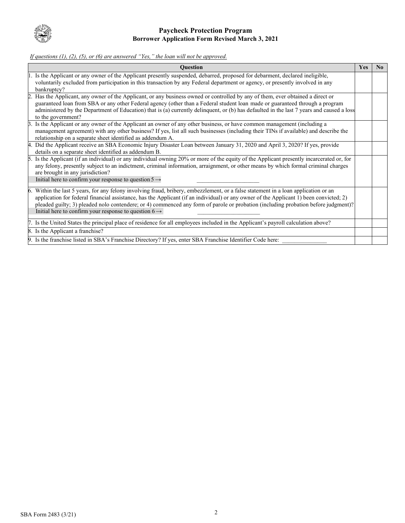

*If questions (1), (2), (5), or (6) are answered "Yes," the loan will not be approved.*

|    | <b>Question</b>                                                                                                                                                                                                                                                                                                                                                                                                                                                                          | Yes | $\bf No$ |
|----|------------------------------------------------------------------------------------------------------------------------------------------------------------------------------------------------------------------------------------------------------------------------------------------------------------------------------------------------------------------------------------------------------------------------------------------------------------------------------------------|-----|----------|
|    | 1. Is the Applicant or any owner of the Applicant presently suspended, debarred, proposed for debarment, declared ineligible,<br>voluntarily excluded from participation in this transaction by any Federal department or agency, or presently involved in any<br>bankruptcy?                                                                                                                                                                                                            |     |          |
|    | Has the Applicant, any owner of the Applicant, or any business owned or controlled by any of them, ever obtained a direct or<br>guaranteed loan from SBA or any other Federal agency (other than a Federal student loan made or guaranteed through a program<br>administered by the Department of Education) that is (a) currently delinquent, or (b) has defaulted in the last 7 years and caused a loss<br>to the government?                                                          |     |          |
| 3. | Is the Applicant or any owner of the Applicant an owner of any other business, or have common management (including a<br>management agreement) with any other business? If yes, list all such businesses (including their TINs if available) and describe the<br>relationship on a separate sheet identified as addendum A.                                                                                                                                                              |     |          |
|    | 4. Did the Applicant receive an SBA Economic Injury Disaster Loan between January 31, 2020 and April 3, 2020? If yes, provide<br>details on a separate sheet identified as addendum B.                                                                                                                                                                                                                                                                                                   |     |          |
| 5. | Is the Applicant (if an individual) or any individual owning 20% or more of the equity of the Applicant presently incarcerated or, for<br>any felony, presently subject to an indictment, criminal information, arraignment, or other means by which formal criminal charges<br>are brought in any jurisdiction?<br>Initial here to confirm your response to question $5 \rightarrow$                                                                                                    |     |          |
|    | 6. Within the last 5 years, for any felony involving fraud, bribery, embezzlement, or a false statement in a loan application or an<br>application for federal financial assistance, has the Applicant (if an individual) or any owner of the Applicant 1) been convicted; 2)<br>pleaded guilty; 3) pleaded nolo contendere; or 4) commenced any form of parole or probation (including probation before judgment)?<br>Initial here to confirm your response to question $6 \rightarrow$ |     |          |
|    | 7. Is the United States the principal place of residence for all employees included in the Applicant's payroll calculation above?                                                                                                                                                                                                                                                                                                                                                        |     |          |
|    | 8. Is the Applicant a franchise?                                                                                                                                                                                                                                                                                                                                                                                                                                                         |     |          |
|    | 9. Is the franchise listed in SBA's Franchise Directory? If yes, enter SBA Franchise Identifier Code here:                                                                                                                                                                                                                                                                                                                                                                               |     |          |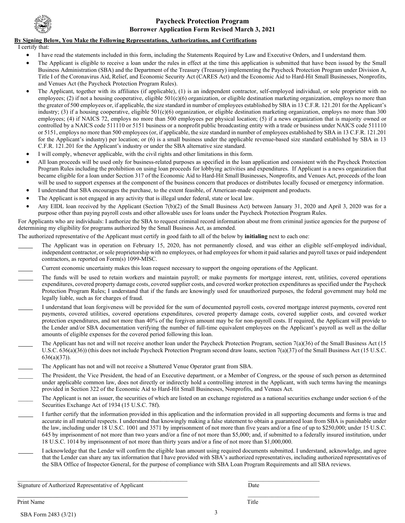

### **By Signing Below, You Make the Following Representations, Authorizations, and Certifications**

I certify that:

- I have read the statements included in this form, including the Statements Required by Law and Executive Orders, and I understand them.
- The Applicant is eligible to receive a loan under the rules in effect at the time this application is submitted that have been issued by the Small Business Administration (SBA) and the Department of the Treasury (Treasury) implementing the Paycheck Protection Program under Division A, Title I of the Coronavirus Aid, Relief, and Economic Security Act (CARES Act) and the Economic Aid to Hard-Hit Small Businesses, Nonprofits, and Venues Act (the Paycheck Protection Program Rules).
- The Applicant, together with its affiliates (if applicable), (1) is an independent contractor, self-employed individual, or sole proprietor with no employees; (2) if not a housing cooperative, eligible 501(c)(6) organization, or eligible destination marketing organization, employs no more than the greater of 500 employees or, if applicable, the size standard in number of employees established by SBA in 13 C.F.R. 121.201 for the Applicant's industry; (3) if a housing cooperative, eligible 501(c)(6) organization, or eligible destination marketing organization, employs no more than 300 employees; (4) if NAICS 72, employs no more than 500 employees per physical location; (5) if a news organization that is majority owned or controlled by a NAICS code 511110 or 5151 business or a nonprofit public broadcasting entity with a trade or business under NAICS code 511110 or 5151, employs no more than 500 employees (or, if applicable, the size standard in number of employees established by SBA in 13 C.F.R. 121.201 for the Applicant's industry) per location; or (6) is a small business under the applicable revenue-based size standard established by SBA in 13 C.F.R. 121.201 for the Applicant's industry or under the SBA alternative size standard.
- I will comply, whenever applicable, with the civil rights and other limitations in this form.
- All loan proceeds will be used only for business-related purposes as specified in the loan application and consistent with the Paycheck Protection Program Rules including the prohibition on using loan proceeds for lobbying activities and expenditures. If Applicant is a news organization that became eligible for a loan under Section 317 of the Economic Aid to Hard-Hit Small Businesses, Nonprofits, and Venues Act, proceeds of the loan will be used to support expenses at the component of the business concern that produces or distributes locally focused or emergency information.
- I understand that SBA encourages the purchase, to the extent feasible, of American-made equipment and products.
- The Applicant is not engaged in any activity that is illegal under federal, state or local law.
- Any EIDL loan received by the Applicant (Section 7(b)(2) of the Small Business Act) between January 31, 2020 and April 3, 2020 was for a purpose other than paying payroll costs and other allowable uses for loans under the Paycheck Protection Program Rules.

For Applicants who are individuals: I authorize the SBA to request criminal record information about me from criminal justice agencies for the purpose of determining my eligibility for programs authorized by the Small Business Act, as amended.

The authorized representative of the Applicant must certify in good faith to all of the below by **initialing** next to each one:

- The Applicant was in operation on February 15, 2020, has not permanently closed, and was either an eligible self-employed individual, independent contractor, orsole proprietorship with no employees, or had employees for whom it paid salaries and payroll taxes or paid independent contractors, as reported on Form(s) 1099-MISC.
- Current economic uncertainty makes this loan request necessary to support the ongoing operations of the Applicant.
- The funds will be used to retain workers and maintain payroll; or make payments for mortgage interest, rent, utilities, covered operations expenditures, covered property damage costs, covered supplier costs, and covered worker protection expenditures as specified under the Paycheck Protection Program Rules; I understand that if the funds are knowingly used for unauthorized purposes, the federal government may hold me legally liable, such as for charges of fraud.
- I understand that loan forgiveness will be provided for the sum of documented payroll costs, covered mortgage interest payments, covered rent payments, covered utilities, covered operations expenditures, covered property damage costs, covered supplier costs, and covered worker protection expenditures, and not more than 40% of the forgiven amount may be for non-payroll costs. If required, the Applicant will provide to the Lender and/or SBA documentation verifying the number of full-time equivalent employees on the Applicant's payroll as well as the dollar amounts of eligible expenses for the covered period following this loan.
- The Applicant has not and will not receive another loan under the Paycheck Protection Program, section 7(a)(36) of the Small Business Act (15 U.S.C. 636(a)(36)) (this does not include Paycheck Protection Program second draw loans, section 7(a)(37) of the Small Business Act (15 U.S.C. 636(a)(37)).
- The Applicant has not and will not receive a Shuttered Venue Operator grant from SBA.
- The President, the Vice President, the head of an Executive department, or a Member of Congress, or the spouse of such person as determined under applicable common law, does not directly or indirectly hold a controlling interest in the Applicant, with such terms having the meanings provided in Section 322 of the Economic Aid to Hard-Hit Small Businesses, Nonprofits, and Venues Act.
- The Applicant is not an issuer, the securities of which are listed on an exchange registered as a national securities exchange under section 6 of the Securities Exchange Act of 1934 (15 U.S.C. 78f).
- I further certify that the information provided in this application and the information provided in all supporting documents and forms is true and accurate in all material respects. I understand that knowingly making a false statement to obtain a guaranteed loan from SBA is punishable under the law, including under 18 U.S.C. 1001 and 3571 by imprisonment of not more than five years and/or a fine of up to \$250,000; under 15 U.S.C. 645 by imprisonment of not more than two years and/or a fine of not more than \$5,000; and, if submitted to a federally insured institution, under 18 U.S.C. 1014 by imprisonment of not more than thirty years and/or a fine of not more than \$1,000,000.
- I acknowledge that the Lender will confirm the eligible loan amount using required documents submitted. I understand, acknowledge, and agree that the Lender can share any tax information that I have provided with SBA's authorized representatives, including authorized representatives of the SBA Office of Inspector General, for the purpose of compliance with SBA Loan Program Requirements and all SBA reviews.

 $\overline{\phantom{a}}$  , and the contribution of the contribution of the contribution of the contribution of the contribution of the contribution of the contribution of the contribution of the contribution of the contribution of the

Signature of Authorized Representative of Applicant Date Date Date Date

 $\_$  , and the set of the set of the set of the set of the set of the set of the set of the set of the set of the set of the set of the set of the set of the set of the set of the set of the set of the set of the set of th

Print Name Title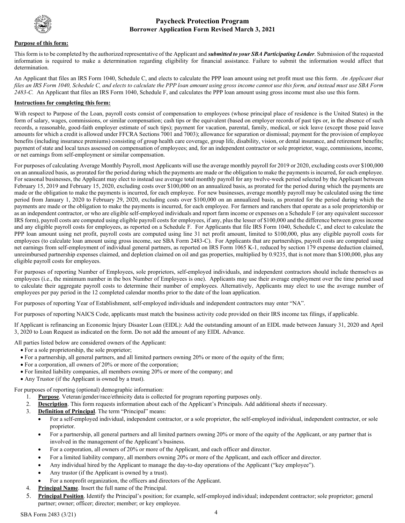

#### **Purpose of this form:**

This form is to be completed by the authorized representative of the Applicant and *submitted to your SBA Participating Lender*. Submission of the requested information is required to make a determination regarding eligibility for financial assistance. Failure to submit the information would affect that determination.

An Applicant that files an IRS Form 1040, Schedule C, and elects to calculate the PPP loan amount using net profit must use this form. *An Applicant that*  files an IRS Form 1040, Schedule C, and elects to calculate the PPP loan amount using gross income cannot use this form, and instead must use SBA Form *2483-C.* An Applicant that files an IRS Form 1040, Schedule F, and calculates the PPP loan amount using gross income must also use this form.

#### **Instructions for completing this form:**

With respect to Purpose of the Loan, payroll costs consist of compensation to employees (whose principal place of residence is the United States) in the form of salary, wages, commissions, or similar compensation; cash tips or the equivalent (based on employer records of past tips or, in the absence of such records, a reasonable, good-faith employer estimate of such tips); payment for vacation, parental, family, medical, or sick leave (except those paid leave amounts for which a credit is allowed under FFCRA Sections 7001 and 7003); allowance for separation or dismissal; payment for the provision of employee benefits (including insurance premiums) consisting of group health care coverage, group life, disability, vision, or dental insurance, and retirement benefits; payment of state and local taxes assessed on compensation of employees; and, for an independent contractor or sole proprietor, wage, commissions, income, or net earnings from self-employment or similar compensation.

For purposes of calculating Average Monthly Payroll, most Applicants will use the average monthly payroll for 2019 or 2020, excluding costs over \$100,000 on an annualized basis, as prorated for the period during which the payments are made or the obligation to make the payments is incurred, for each employee. For seasonal businesses, the Applicant may elect to instead use average total monthly payroll for any twelve-week period selected by the Applicant between February 15, 2019 and February 15, 2020, excluding costs over \$100,000 on an annualized basis, as prorated for the period during which the payments are made or the obligation to make the payments is incurred, for each employee. For new businesses, average monthly payroll may be calculated using the time period from January 1, 2020 to February 29, 2020, excluding costs over \$100,000 on an annualized basis, as prorated for the period during which the payments are made or the obligation to make the payments is incurred, for each employee. For farmers and ranchers that operate as a sole proprietorship or as an independent contractor, or who are eligible self-employed individuals and report farm income or expenses on a Schedule F (or any equivalent successor IRS form), payroll costs are computed using eligible payroll costs for employees, if any, plus the lesser of \$100,000 and the difference between gross income and any eligible payroll costs for employees, as reported on a Schedule F. For Applicants that file IRS Form 1040, Schedule C, and elect to calculate the PPP loan amount using net profit, payroll costs are computed using line 31 net profit amount, limited to \$100,000, plus any eligible payroll costs for employees (to calculate loan amount using gross income, see SBA Form 2483-C). For Applicants that are partnerships, payroll costs are computed using net earnings from self-employment of individual general partners, as reported on IRS Form 1065 K-1, reduced by section 179 expense deduction claimed, unreimbursed partnership expenses claimed, and depletion claimed on oil and gas properties, multiplied by 0.9235, that is not more than \$100,000, plus any eligible payroll costs for employees.

For purposes of reporting Number of Employees, sole proprietors, self-employed individuals, and independent contractors should include themselves as employees (i.e., the minimum number in the box Number of Employees is one). Applicants may use their average employment over the time period used to calculate their aggregate payroll costs to determine their number of employees. Alternatively, Applicants may elect to use the average number of employees per pay period in the 12 completed calendar months prior to the date of the loan application.

For purposes of reporting Year of Establishment, self-employed individuals and independent contractors may enter "NA".

For purposes of reporting NAICS Code, applicants must match the business activity code provided on their IRS income tax filings, if applicable.

If Applicant is refinancing an Economic Injury Disaster Loan (EIDL): Add the outstanding amount of an EIDL made between January 31, 2020 and April 3, 2020 to Loan Request as indicated on the form. Do not add the amount of any EIDL Advance.

All parties listed below are considered owners of the Applicant:

- For a sole proprietorship, the sole proprietor;
- For a partnership, all general partners, and all limited partners owning 20% or more of the equity of the firm;
- For a corporation, all owners of 20% or more of the corporation;
- For limited liability companies, all members owning 20% or more of the company; and
- Any Trustor (if the Applicant is owned by a trust).

For purposes of reporting (optional) demographic information:

- 1. **Purpose**. Veteran/gender/race/ethnicity data is collected for program reporting purposes only.
- 2. **Description**. This form requests information about each of the Applicant's Principals. Add additional sheets if necessary.
- 3. **Definition of Principal**. The term "Principal" means:
	- For a self-employed individual, independent contractor, or a sole proprietor, the self-employed individual, independent contractor, or sole proprietor.
	- For a partnership, all general partners and all limited partners owning 20% or more of the equity of the Applicant, or any partner that is involved in the management of the Applicant's business.
	- For a corporation, all owners of 20% or more of the Applicant, and each officer and director.
	- For a limited liability company, all members owning 20% or more of the Applicant, and each officer and director.
	- Any individual hired by the Applicant to manage the day-to-day operations of the Applicant ("key employee").
	- Any trustor (if the Applicant is owned by a trust).
	- For a nonprofit organization, the officers and directors of the Applicant.
- 4. **Principal Name**. Insert the full name of the Principal.
- 5. **Principal Position**. Identify the Principal's position; for example, self-employed individual; independent contractor; sole proprietor; general partner; owner; officer; director; member; or key employee.